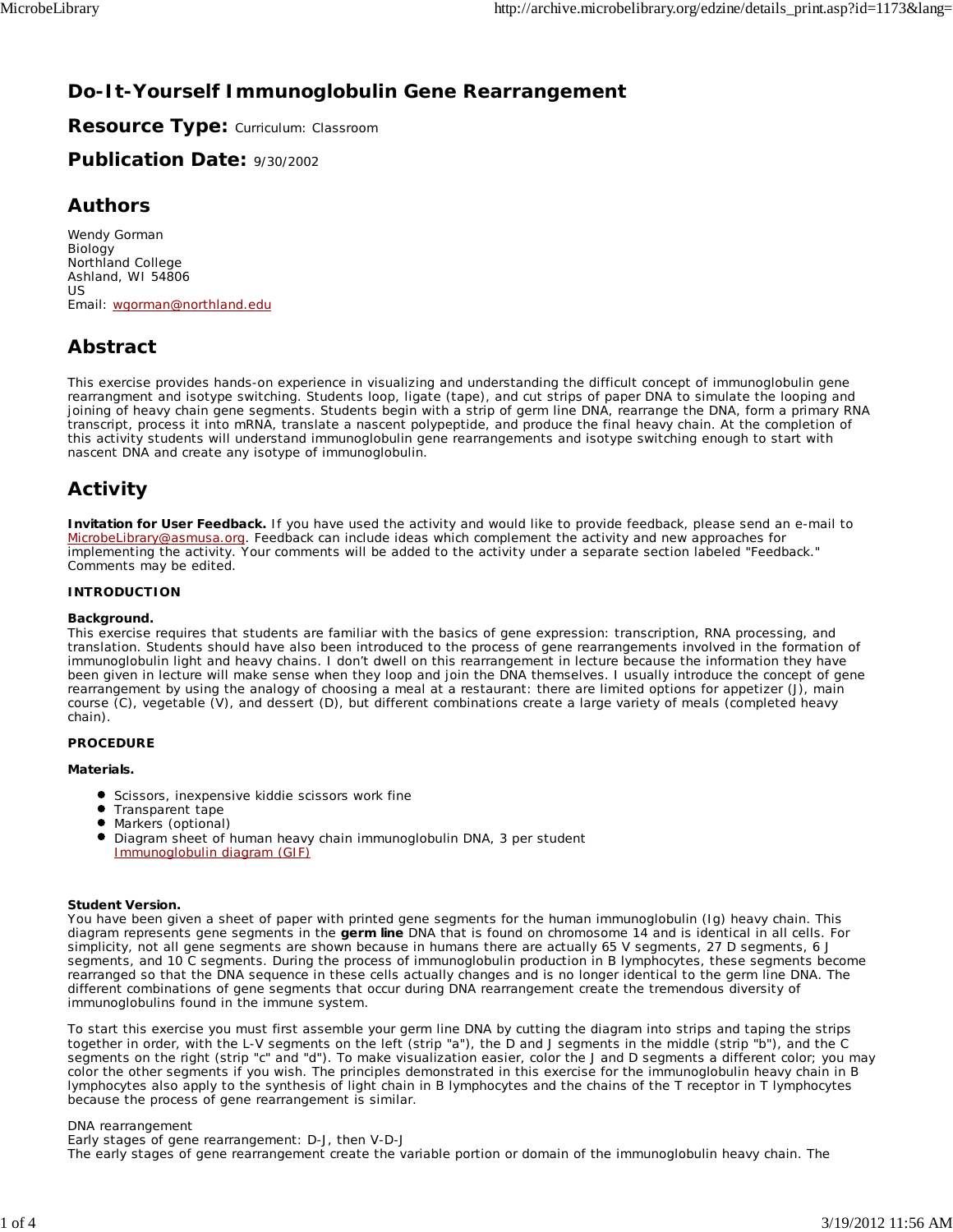## **Do-It-Yourself Immunoglobulin Gene Rearrangement**

**Resource Type:** Curriculum: Classroom

**Publication Date:** 9/30/2002

## **Authors**

*Wendy Gorman* Biology Northland College Ashland, WI 54806 US Email: wgorman@northland.edu

# **Abstract**

This exercise provides hands-on experience in visualizing and understanding the difficult concept of immunoglobulin gene rearrangment and isotype switching. Students loop, ligate (tape), and cut strips of paper DNA to simulate the looping and joining of heavy chain gene segments. Students begin with a strip of germ line DNA, rearrange the DNA, form a primary RNA transcript, process it into mRNA, translate a nascent polypeptide, and produce the final heavy chain. At the completion of this activity students will understand immunoglobulin gene rearrangements and isotype switching enough to start with nascent DNA and create any isotype of immunoglobulin.

## **Activity**

**Invitation for User Feedback.** If you have used the activity and would like to provide feedback, please send an e-mail to MicrobeLibrary@asmusa.org. Feedback can include ideas which complement the activity and new approaches for implementing the activity. Your comments will be added to the activity under a separate section labeled "Feedback." Comments may be edited.

## **INTRODUCTION**

## **Background.**

This exercise requires that students are familiar with the basics of gene expression: transcription, RNA processing, and translation. Students should have also been introduced to the process of gene rearrangements involved in the formation of immunoglobulin light and heavy chains. I don't dwell on this rearrangement in lecture because the information they have been given in lecture will make sense when they loop and join the DNA themselves. I usually introduce the concept of gene rearrangement by using the analogy of choosing a meal at a restaurant: there are limited options for appetizer (J), main course (C), vegetable (V), and dessert (D), but different combinations create a large variety of meals (completed heavy chain).

## **PROCEDURE**

#### **Materials.**

- Scissors, inexpensive kiddie scissors work fine
- **Transparent tape**
- Markers (optional)
- $\bullet$ Diagram sheet of human heavy chain immunoglobulin DNA, 3 per student Immunoglobulin diagram (GIF)

## **Student Version.**

You have been given a sheet of paper with printed gene segments for the human immunoglobulin (Ig) heavy chain. This diagram represents gene segments in the **germ line** DNA that is found on chromosome 14 and is identical in all cells. For simplicity, not all gene segments are shown because in humans there are actually 65 V segments, 27 D segments, 6 J segments, and 10 C segments. During the process of immunoglobulin production in B lymphocytes, these segments become rearranged so that the DNA sequence in these cells actually changes and is no longer identical to the germ line DNA. The different combinations of gene segments that occur during DNA rearrangement create the tremendous diversity of immunoglobulins found in the immune system.

To start this exercise you must first assemble your germ line DNA by cutting the diagram into strips and taping the strips together in order, with the L-V segments on the left (strip "a"), the D and J segments in the middle (strip "b"), and the C segments on the right (strip "c" and "d"). To make visualization easier, color the J and D segments a different color; you may color the other segments if you wish. The principles demonstrated in this exercise for the immunoglobulin heavy chain in B lymphocytes also apply to the synthesis of light chain in B lymphocytes and the chains of the T receptor in T lymphocytes because the process of gene rearrangement is similar.

#### *DNA rearrangement*

Early stages of gene rearrangement: D-J, then V-D-J The early stages of gene rearrangement create the variable portion or domain of the immunoglobulin heavy chain. The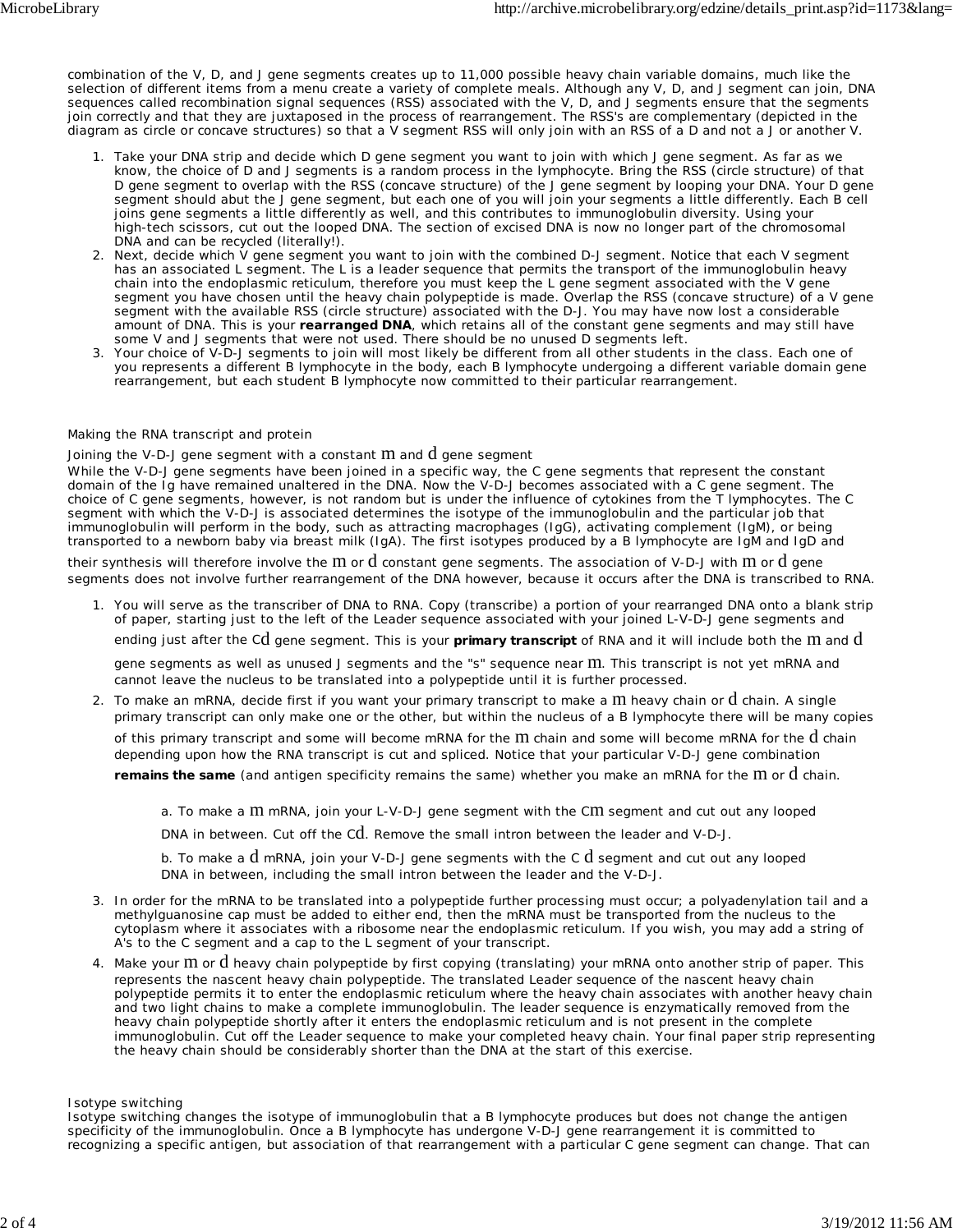combination of the V, D, and J gene segments creates up to 11,000 possible heavy chain variable domains, much like the selection of different items from a menu create a variety of complete meals. Although any V, D, and J segment can join, DNA sequences called recombination signal sequences (RSS) associated with the V, D, and J segments ensure that the segments join correctly and that they are juxtaposed in the process of rearrangement. The RSS's are complementary (depicted in the diagram as circle or concave structures) so that a V segment RSS will only join with an RSS of a D and not a J or another V.

- 1. Take your DNA strip and decide which D gene segment you want to join with which J gene segment. As far as we know, the choice of D and J segments is a random process in the lymphocyte. Bring the RSS (circle structure) of that D gene segment to overlap with the RSS (concave structure) of the J gene segment by looping your DNA. Your D gene segment should abut the J gene segment, but each one of you will join your segments a little differently. Each B cell joins gene segments a little differently as well, and this contributes to immunoglobulin diversity. Using your high-tech scissors, cut out the looped DNA. The section of excised DNA is now no longer part of the chromosomal DNA and can be recycled (literally!).
- 2. Next, decide which V gene segment you want to join with the combined D-J segment. Notice that each V segment has an associated L segment. The L is a leader sequence that permits the transport of the immunoglobulin heavy chain into the endoplasmic reticulum, therefore you must keep the L gene segment associated with the V gene segment you have chosen until the heavy chain polypeptide is made. Overlap the RSS (concave structure) of a V gene segment with the available RSS (circle structure) associated with the D-J. You may have now lost a considerable amount of DNA. This is your **rearranged DNA**, which retains all of the constant gene segments and may still have some V and J segments that were not used. There should be no unused D segments left.
- 3. Your choice of V-D-J segments to join will most likely be different from all other students in the class. Each one of you represents a different B lymphocyte in the body, each B lymphocyte undergoing a different variable domain gene rearrangement, but each student B lymphocyte now committed to their particular rearrangement.

## *Making the RNA transcript and protein*

Joining the V-D-J gene segment with a constant  $m$  and  $d$  gene segment

While the V-D-J gene segments have been joined in a specific way, the C gene segments that represent the constant domain of the Ig have remained unaltered in the DNA. Now the V-D-J becomes associated with a C gene segment. The choice of C gene segments, however, is not random but is under the influence of cytokines from the T lymphocytes. The C segment with which the V-D-J is associated determines the isotype of the immunoglobulin and the particular job that immunoglobulin will perform in the body, such as attracting macrophages (IgG), activating complement (IgM), or being transported to a newborn baby via breast milk (IgA). The first isotypes produced by a B lymphocyte are IgM and IgD and

their synthesis will therefore involve the  $m$  or  $d$  constant gene segments. The association of V-D-J with  $m$  or  $d$  gene segments does not involve further rearrangement of the DNA however, because it occurs after the DNA is transcribed to RNA.

1. You will serve as the transcriber of DNA to RNA. Copy (transcribe) a portion of your rearranged DNA onto a blank strip of paper, starting just to the left of the Leader sequence associated with your joined L-V-D-J gene segments and

ending just after the Cd gene segment. This is your **primary transcript** of RNA and it will include both the m and d

gene segments as well as unused J segments and the "s" sequence near *m*. This transcript is not yet mRNA and cannot leave the nucleus to be translated into a polypeptide until it is further processed.

- 2. To make an mRNA, decide first if you want your primary transcript to make a  $m$  heavy chain or  $d$  chain. A single primary transcript can only make one or the other, but within the nucleus of a B lymphocyte there will be many copies of this primary transcript and some will become mRNA for the  $m$  chain and some will become mRNA for the  $d$  chain depending upon how the RNA transcript is cut and spliced. Notice that your particular V-D-J gene combination **remains the same** (and antigen specificity remains the same) whether you make an mRNA for the m or d chain.
	- a. To make a m mRNA, join your L-V-D-J gene segment with the Cm segment and cut out any looped

DNA in between. Cut off the Cd. Remove the small intron between the leader and V-D-J.

b. To make a  $d$  mRNA, join your V-D-J gene segments with the C  $d$  segment and cut out any looped DNA in between, including the small intron between the leader and the V-D-J.

- 3. In order for the mRNA to be translated into a polypeptide further processing must occur; a polyadenylation tail and a methylguanosine cap must be added to either end, then the mRNA must be transported from the nucleus to the cytoplasm where it associates with a ribosome near the endoplasmic reticulum. If you wish, you may add a string of A's to the C segment and a cap to the L segment of your transcript.
- 4. Make your  $m$  or  $d$  heavy chain polypeptide by first copying (translating) your mRNA onto another strip of paper. This represents the nascent heavy chain polypeptide. The translated Leader sequence of the nascent heavy chain polypeptide permits it to enter the endoplasmic reticulum where the heavy chain associates with another heavy chain and two light chains to make a complete immunoglobulin. The leader sequence is enzymatically removed from the heavy chain polypeptide shortly after it enters the endoplasmic reticulum and is not present in the complete immunoglobulin. Cut off the Leader sequence to make your completed heavy chain. Your final paper strip representing the heavy chain should be considerably shorter than the DNA at the start of this exercise.

#### *Isotype switching*

Isotype switching changes the isotype of immunoglobulin that a B lymphocyte produces but does not change the antigen specificity of the immunoglobulin. Once a B lymphocyte has undergone V-D-J gene rearrangement it is committed to recognizing a specific antigen, but association of that rearrangement with a particular C gene segment can change. That can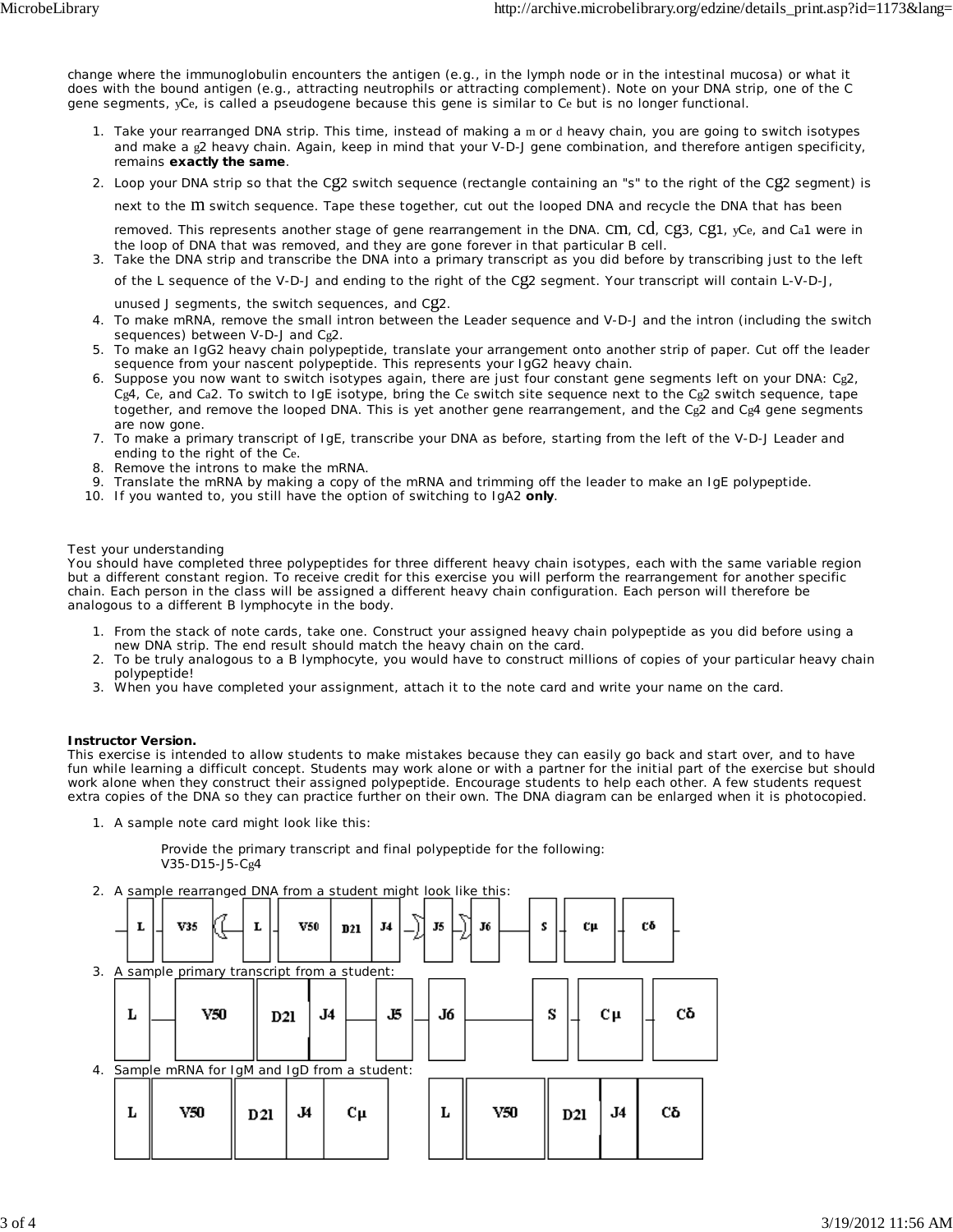change where the immunoglobulin encounters the antigen (e.g., in the lymph node or in the intestinal mucosa) or what it does with the bound antigen (e.g., attracting neutrophils or attracting complement). Note on your DNA strip, one of the C gene segments, yCe, is called a pseudogene because this gene is similar to Ce but is no longer functional.

- 1. Take your rearranged DNA strip. This time, instead of making a m or d heavy chain, you are going to switch isotypes and make a g2 heavy chain. Again, keep in mind that your V-D-J gene combination, and therefore antigen specificity, remains **exactly the same**.
- 2. Loop your DNA strip so that the Cg2 switch sequence (rectangle containing an "s" to the right of the Cg2 segment) is

next to the M switch sequence. Tape these together, cut out the looped DNA and recycle the DNA that has been

removed. This represents another stage of gene rearrangement in the DNA. Cm, Cd, Cg3, Cg1, yCe, and Ca1 were in the loop of DNA that was removed, and they are gone forever in that particular B cell.

3. Take the DNA strip and transcribe the DNA into a primary transcript as you did before by transcribing just to the left

of the L sequence of the V-D-J and ending to the right of the Cg2 segment. Your transcript will contain L-V-D-J,

unused J segments, the switch sequences, and Cg2.

- 4. To make mRNA, remove the small intron between the Leader sequence and V-D-J and the intron (including the switch sequences) between V-D-J and Cg2.
- 5. To make an IgG2 heavy chain polypeptide, translate your arrangement onto another strip of paper. Cut off the leader sequence from your nascent polypeptide. This represents your IgG2 heavy chain.
- 6. Suppose you now want to switch isotypes again, there are just four constant gene segments left on your DNA: Cg2, Cg4, Ce, and Ca2. To switch to IgE isotype, bring the Ce switch site sequence next to the Cg2 switch sequence, tape together, and remove the looped DNA. This is yet another gene rearrangement, and the Cg2 and Cg4 gene segments are now gone.
- 7. To make a primary transcript of IgE, transcribe your DNA as before, starting from the left of the V-D-J Leader and ending to the right of the Ce.
- 8. Remove the introns to make the mRNA.
- 9. Translate the mRNA by making a copy of the mRNA and trimming off the leader to make an IgE polypeptide.
- 10. If you wanted to, you still have the option of switching to IgA2 **only**.

#### *Test your understanding*

You should have completed three polypeptides for three different heavy chain isotypes, each with the same variable region but a different constant region. To receive credit for this exercise you will perform the rearrangement for another specific chain. Each person in the class will be assigned a different heavy chain configuration. Each person will therefore be analogous to a different B lymphocyte in the body.

- 1. From the stack of note cards, take one. Construct your assigned heavy chain polypeptide as you did before using a new DNA strip. The end result should match the heavy chain on the card.
- 2. To be truly analogous to a B lymphocyte, you would have to construct millions of copies of your particular heavy chain polypeptide!
- 3. When you have completed your assignment, attach it to the note card and write your name on the card.

#### **Instructor Version.**

This exercise is intended to allow students to make mistakes because they can easily go back and start over, and to have fun while learning a difficult concept. Students may work alone or with a partner for the initial part of the exercise but should work alone when they construct their assigned polypeptide. Encourage students to help each other. A few students request extra copies of the DNA so they can practice further on their own. The DNA diagram can be enlarged when it is photocopied.

1. A sample note card might look like this:

Provide the primary transcript and final polypeptide for the following: V35-D15-J5-Cg4

2. A sample rearranged DNA from a student might look like this:

| L | ີ<br>V35<br>3. A sample primary transcript from a student:   | L               | V50 | D21                      | <b>J4</b> | J5 | J6         | s<br>Cμ |        | cδ |
|---|--------------------------------------------------------------|-----------------|-----|--------------------------|-----------|----|------------|---------|--------|----|
| L | <b>V50</b>                                                   | D21             | J4  |                          | J5        | J6 |            | s       | $C\mu$ | Cδ |
| L | 4. Sample mRNA for IgM and IgD from a student:<br><b>V50</b> | D <sub>21</sub> | J4  | $\mathbf{C}\mathbf{\mu}$ |           | L  | <b>V50</b> | D21     | J4     | Cδ |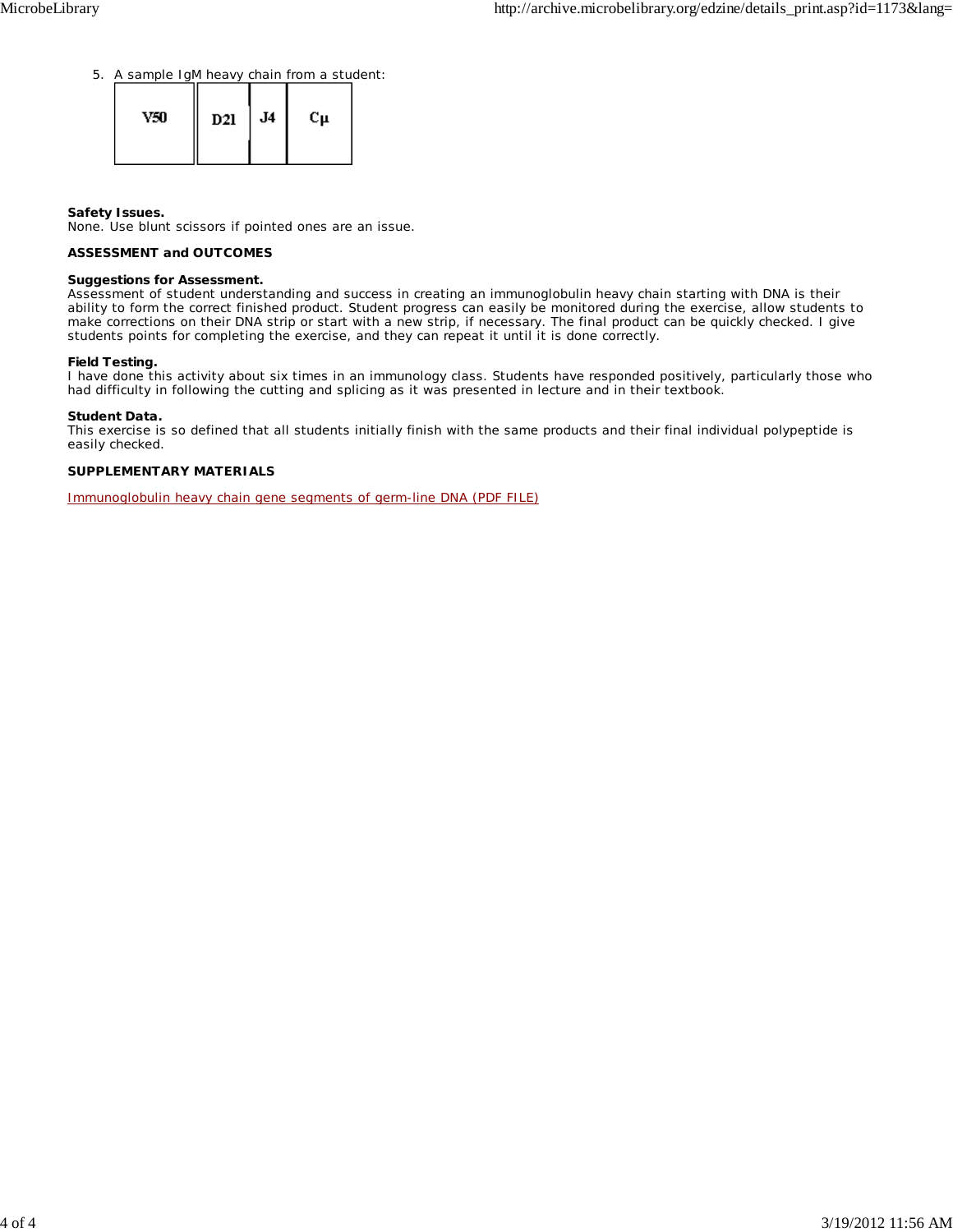5. A sample IgM heavy chain from a student:

| <b>V50</b> | D21 | J <sub>4</sub> | Cμ |  |
|------------|-----|----------------|----|--|
|------------|-----|----------------|----|--|

### **Safety Issues.**

None. Use blunt scissors if pointed ones are an issue.

### **ASSESSMENT and OUTCOMES**

### **Suggestions for Assessment.**

Assessment of student understanding and success in creating an immunoglobulin heavy chain starting with DNA is their ability to form the correct finished product. Student progress can easily be monitored during the exercise, allow students to make corrections on their DNA strip or start with a new strip, if necessary. The final product can be quickly checked. I give students points for completing the exercise, and they can repeat it until it is done correctly.

#### **Field Testing.**

I have done this activity about six times in an immunology class. Students have responded positively, particularly those who had difficulty in following the cutting and splicing as it was presented in lecture and in their textbook.

#### **Student Data.**

This exercise is so defined that all students initially finish with the same products and their final individual polypeptide is easily checked.

### **SUPPLEMENTARY MATERIALS**

Immunoglobulin heavy chain gene segments of germ-line DNA (PDF FILE)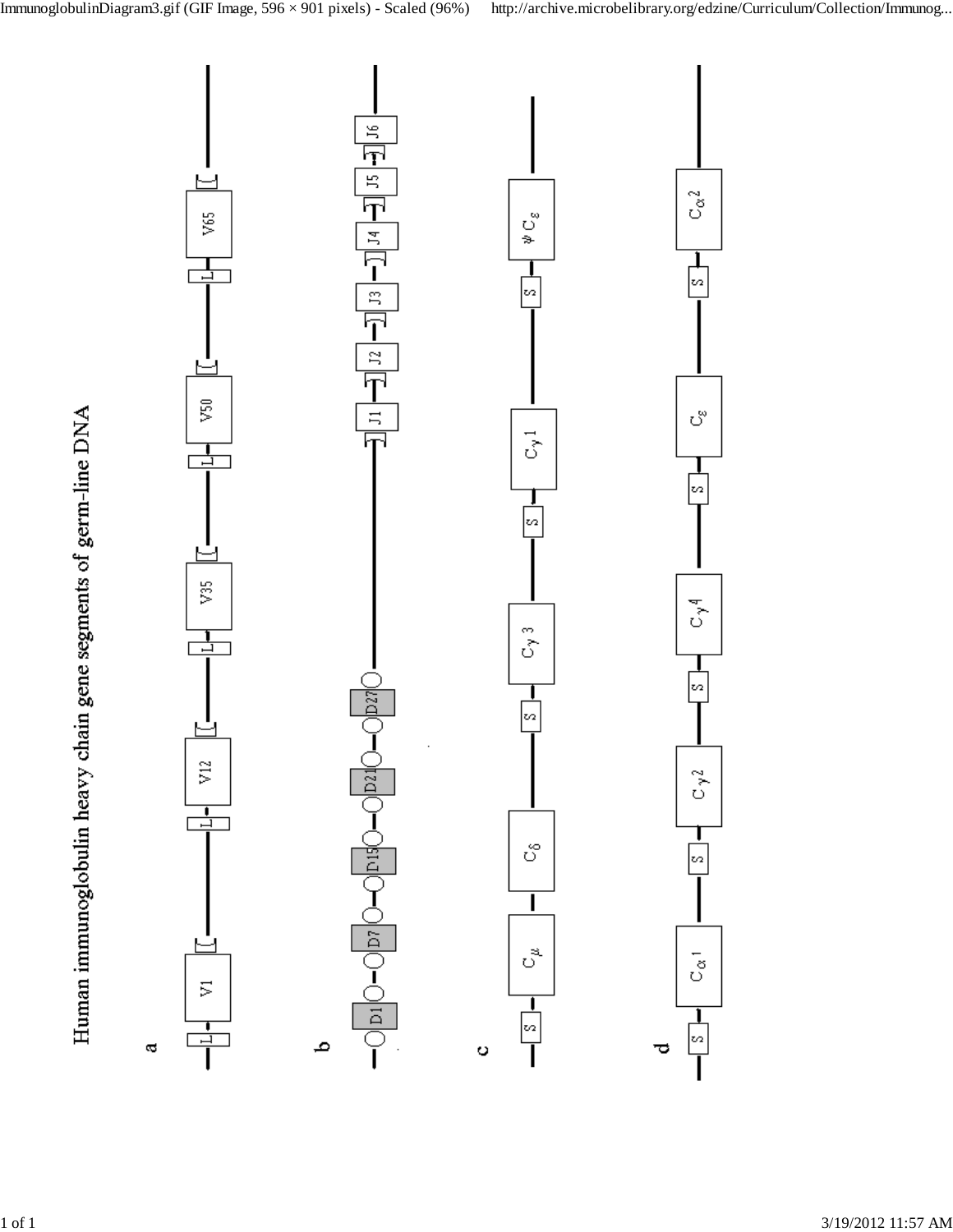Human immunoglobulin heavy chain gene segments of germ-line DNA